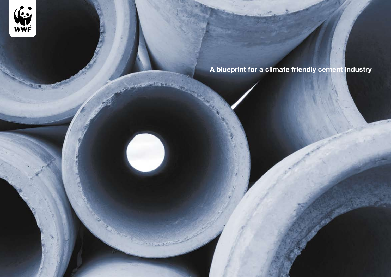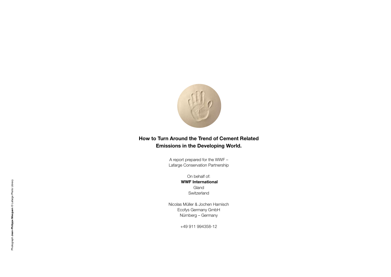

# **How to Turn Around the Trend of Cement Related Emissions in the Developing World.**

A report prepared for the WWF – Lafarge Conservation Partnership

> On behalf of:  **WWF International** Gland Switzerland

Nicolas Müller & Jochen Harnisch Ecofys Germany GmbH Nürnberg – Germany

+49 911 994358-12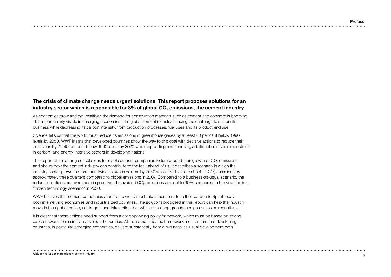# **The crisis of climate change needs urgent solutions. This report proposes solutions for an**  industry sector which is responsible for 8% of global CO<sub>2</sub> emissions, the cement industry.

As economies grow and get wealthier, the demand for construction materials such as cement and concrete is booming. This is particularly visible in emerging economies. The global cement industry is facing the challenge to sustain its business while decreasing its carbon intensity, from production processes, fuel uses and its product end use.

Science tells us that the world must reduce its emissions of greenhouse gases by at least 80 per cent below 1990 levels by 2050. WWF insists that developed countries show the way to this goal with decisive actions to reduce their emissions by 25-40 per cent below 1990 levels by 2020 while supporting and financing additional emissions reductions in carbon- and energy-intensive sectors in developing nations.

This report offers a range of solutions to enable cement companies to turn around their growth of CO<sub>2</sub> emissions and shows how the cement industry can contribute to the task ahead of us. It describes a scenario in which the industry sector grows to more than twice its size in volume by 2050 while it reduces its absolute CO<sub>2</sub> emissions by approximately three quarters compared to global emissions in 2007. Compared to a business-as-usual scenario, the reduction options are even more impressive: the avoided  $CO<sub>2</sub>$  emissions amount to 90% compared to the situation in a "frozen technology scenario" in 2050.

WWF believes that cement companies around the world must take steps to reduce their carbon footprint today, both in emerging economies and industrialized countries. The solutions proposed in this report can help the industry move in the right direction, set targets and take action that will lead to deep greenhouse gas emission reductions.

It is clear that these actions need support from a corresponding policy framework, which must be based on strong caps on overall emissions in developed countries. At the same time, the framework must ensure that developing countries, in particular emerging economies, deviate substantially from a business-as-usual development path.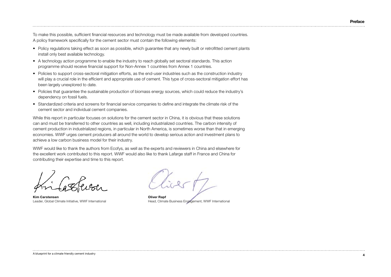To make this possible, sufficient financial resources and technology must be made available from developed countries. A policy framework specifically for the cement sector must contain the following elements:

- Policy regulations taking effect as soon as possible, which guarantee that any newly built or retrofitted cement plants install only best available technology.
- A technology action programme to enable the industry to reach globally set sectoral standards. This action programme should receive financial support for Non-Annex 1 countries from Annex 1 countries.
- • Policies to support cross-sectoral mitigation efforts, as the end-user industries such as the construction industry will play a crucial role in the efficient and appropriate use of cement. This type of cross-sectoral mitigation effort has been largely unexplored to date.
- • Policies that guarantee the sustainable production of biomass energy sources, which could reduce the industry's dependency on fossil fuels.
- Standardized criteria and screens for financial service companies to define and integrate the climate risk of the cement sector and individual cement companies.

While this report in particular focuses on solutions for the cement sector in China, it is obvious that these solutions can and must be transferred to other countries as well, including industrialized countries. The carbon intensity of cement production in industrialized regions, in particular in North America, is sometimes worse than that in emerging economies. WWF urges cement producers all around the world to develop serious action and investment plans to achieve a low carbon business model for their industry.

WWF would like to thank the authors from Ecofys, as well as the experts and reviewers in China and elsewhere for the excellent work contributed to this report. WWF would also like to thank Lafarge staff in France and China for contributing their expertise and time to this report.

**Kim Carstensen**<br>
Leader, Global Climate Initiative, WWF International<br>
Head. Climat

Head, Climate Business Engagement, WWF International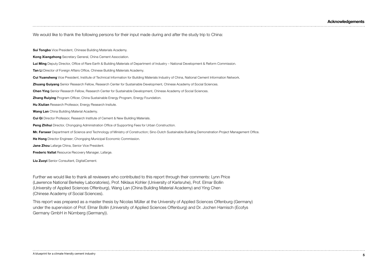We would like to thank the following persons for their input made during and after the study trip to China:

**Sui Tongbo** Vice President, Chinese Building Materials Academy.

**Kong Xiangzhong** Secretary General, China Cement Association.

**Lui Ming** Deputy Director, Office of Rare Earth & Building Materials of Department of Industry – National Development & Reform Commission.

**Tan Li** Director of Foreign Affairs Office, Chinese Building Materials Academy.

**Cui Yuansheng** Vice President, Institute of Technical Information for Building Materials Industry of China, National Cement Information Network.

**Zhuang Guiyang** Senior Research Fellow, Research Center for Sustainable Development, Chinese Academy of Social Sciences.

**Chen Ying** Senior Research Fellow, Research Center for Sustainable Development, Chinese Academy of Social Sciences.

**Zhang Ruiying** Program Officer, China Sustainable Energy Program, Energy Foundation.

**Hu Xiulian** Research Professor, Energy Research Insitute.

**Wang Lan** China Building Material Academy.

**Cui Qi** Director Professor, Research Institute of Cement & New Building Materials.

**Peng Zhihui** Director, Chongqing Administration Office of Supporting Fees for Urban Construction.

**Mr. Farseer** Department of Science and Technology of Ministry of Construction; Sino-Dutch Sustainable Building Demonstration Project Management Office.

**He Hong** Director Engineer; Chongqing Municipal Economic Commission.

**Jane Zhou** Lafarge China, Senior Vice President.

**Frederic Vallat** Resource Recovery Manager, Lafarge.

**Liu Zuoyi** Senior Consultant, DigitalCement.

Further we would like to thank all reviewers who contributed to this report through their comments: Lynn Price (Lawrence National Berkeley Laboratories), Prof. Niklaus Kohler (University of Karlsruhe), Prof. Elmar Bollin (University of Applied Sciences Offenburg), Wang Lan (China Building Material Academy) and Ying Chen (Chinese Academy of Social Sciences).

This report was prepared as a master thesis by Nicolas Müller at the University of Applied Sciences Offenburg (Germany) under the supervision of Prof. Elmar Bollin (University of Applied Sciences Offenburg) and Dr. Jochen Harnisch (Ecofys Germany GmbH in Nürnberg (Germany)).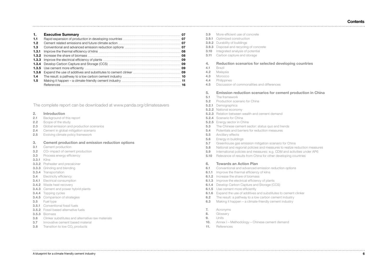# **Contents**

|       | Executive Summary <b>Executive Summary</b>                                                       |    |
|-------|--------------------------------------------------------------------------------------------------|----|
|       |                                                                                                  | 07 |
|       |                                                                                                  | 07 |
| 1.3   |                                                                                                  |    |
| 1.3.1 |                                                                                                  | 08 |
|       | <b>1.3.2</b> Increase the share of biomass <b>CONSCRETE ASSESS Increase the share of biomass</b> | 08 |
|       |                                                                                                  | 09 |
|       |                                                                                                  | 09 |
|       |                                                                                                  | 09 |
|       |                                                                                                  | 09 |
|       |                                                                                                  |    |
| 1.5   |                                                                                                  |    |
|       |                                                                                                  | 16 |

The complete report can be downloaded at www.panda.org/climatesavers

#### **2. Introduction**

- **2.1** Background of this report
- **2.2** Scope of the study
- **2.3** Global emission and production scenarios
- **2.4** Cement in global mitigation scenario
- **2.5** Evolving climate policy framework

### **3. Cement production and emission reduction options**

- **3.1** Cement production
- **3.2** CO<sub>2</sub> impact of cement production
- **3.3** Process energy efficiency
- **3.3.1** Kilns
- **3.3.2** Preheater and precalciner
- **3.3.3** Grinding and blending
- **3.3.4** Transportation
- **3.4** Electricity efficiency
- **3.4.1** Electrical consumption
- **3.4.2** Waste heat recovery
- **3.4.3** Cement and power hybrid plants
- **3.4.4** Topping cycles
- **3.4.5** Comparison of strategies
- **3.5** Fuel type
- **3.5.1** Conventional fossil fuels
- **3.5.2** Fossil based alternative fuels
- **3.5.3** Biomass
- **3.6** Clinker substitutes and alternative raw materials
- **3.7** Innovative cement based material
- **3.8** Transition to low CO<sub>2</sub> products
- **3.9** More efficient use of concrete
- **3.9.1** Optimized construction **3.9.2** Durability of buildings
- **3.9.3** Disposal and recycling of concrete
- **3.10** Integrated analysis of potential
- **3.11** Carbon capture and storage

#### **4. Reduction scenarios for selected developing countries**

- **4.1** Brazil
- **4.2** Malaysia
- **4.3** Morocco
- **4.4** Philippines
- **4.5** Discussion of commonalities and differences
- **5. Emission reduction scenarios for cement production in China**
- **5.1** The framework
- **5.2** Production scenario for China
- **5.2.1** Demographics
- **5.2.2** National economy
- **5.2.3** Relation between wealth and cement demand
- **5.2.4** Scenario for China
- **5.2.5** Energy sector in China
- **5.3** The Chinese cement sector: status quo and trends
- **5.4** Potentials and barriers for reduction measures
- **5.5** Ancillary effects
- **5.6** Energy in buildings
- **5.7** Greenhouse gas emission mitigation scenario for China
- **5.8** National and regional policies and measures to realize reduction measures
- **5.9** International policies and measures: e.g. CDM and activities under AP6
- **5.10** Relevance of results from China for other developing countries

#### **6. Towards an Action Plan**

- **6.1** Conventional and advanced emission reduction options
- **6.1.1** Improve the thermal efficiency of kilns
- **6.1.2** Increase the share of biomass
- **6.1.3** Improve the electrical efficiency of plants
- **6.1.4** Develop Carbon Capture and Storage (CCS)
- **6.1.5** Use cement more efficiently
- **6.1.6** Expand the use of additives and substitutes to cement clinker
- **6.2** The result: a pathway to a low carbon cement industry
- **6.3** Making it happen a climate-friendly cement industry
- **7.** Acronyms
- **8.** Glossary
- **9.** Units

- **10.** Annex I Methodology Chinese cement demand
- **11.** References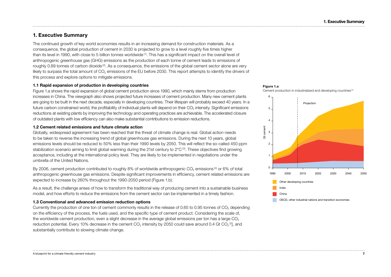# **1. Executive Summary**

The continued growth of key world economies results in an increasing demand for construction materials. As a consequence, the global production of cement in 2030 is projected to grow to a level roughly five times higher than its level in 1990, with close to 5 billion tonnes worldwide [1]. This has a significant impact on the overall level of anthropogenic greenhouse gas (GHG) emissions as the production of each tonne of cement leads to emissions of roughly 0.89 tonnes of carbon dioxide<sup>[2]</sup>. As a consequence, the emissions of the global cement sector alone are very likely to surpass the total amount of  $CO<sub>2</sub>$  emissions of the EU before 2030. This report attempts to identify the drivers of this process and explore options to mitigate emissions.

### **1.1 Rapid expansion of production in developing countries**

Figure 1.a shows the rapid expansion of global cement production since 1990, which mainly stems from production increases in China. The viewgraph also shows projected future increases of cement production. Many new cement plants are going to be built in the next decade, especially in developing countries. Their lifespan will probably exceed 40 years. In a future carbon constrained world, the profitability of individual plants will depend on their CO<sub>2</sub> intensity. Significant emissions reductions at existing plants by improving the technology and operating practices are achievable. The accelerated closure of outdated plants with low efficiency can also make substantial contributions to emission reductions.

### **1.2 Cement related emissions and future climate action**

Globally, widespread agreement has been reached that the threat of climate change is real. Global action needs to be taken to reverse the increasing trend of global greenhouse gas emissions. During the next 10 years, global emissions levels should be reduced to 50% less than their 1990 levels by 2050. This will reflect the so-called 450 ppm stabilization scenario aiming to limit global warming during the 21st century to 2°C<sup>[3]</sup>. These objectives find growing acceptance, including at the international policy level. They are likely to be implemented in negotiations under the umbrella of the United Nations.

By 2006, cement production contributed to roughly 8% of worldwide anthropogenic CO<sub>2</sub> emissions [4] or 6% of total anthropogenic greenhouse gas emissions. Despite significant improvements in efficiency, cement related emissions are expected to increase by 260% throughout the 1990-2050 period (Figure 1.b).

As a result, the challenge arises of how to transform the traditional way of producing cement into a sustainable business model, and how efforts to reduce the emissions from the cement sector can be implemented in a timely fashion.

### **1.3 Conventional and advanced emission reduction options**

Currently the production of one ton of cement commonly results in the release of 0.65 to 0.95 tonnes of  $CO<sub>2</sub>$  depending on the efficiency of the process, the fuels used, and the specific type of cement product. Considering the scale of, the worldwide cement production, even a slight decrease in the average global emissions per ton has a large  $CO<sub>2</sub>$ reduction potential. Every 10% decrease in the cement  $CO_2$  intensity by 2050 could save around 0.4 Gt  $CO_2$ <sup>[5]</sup>, and substantially contribute to slowing climate change.



Cement production in industrialized and developing countries [1]

**Figure 1.a**

OECD, other industrial nations and transition economies

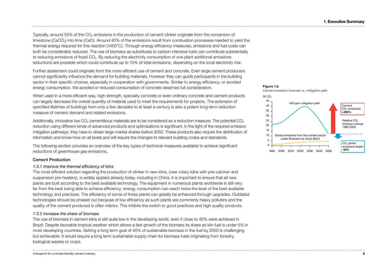Typically, around 55% of the CO<sub>2</sub> emissions in the production of cement clinker originate from the conversion of limestone (CaCO<sub>3</sub>) into lime (CaO). Around 40% of the emissions result from combustion processes needed to yield the thermal energy required for this reaction (1450°C). Through energy efficiency measures, emissions and fuel costs can both be considerably reduced. The use of biomass as substitutes to carbon intensive fuels can contribute substantially to reducing emissions of fossil CO<sub>2</sub>. By reducing the electricity consumption of one plant additional emissions reductions are possible which could contribute up to 10% of total emissions, depending on the local electricity mix.

Further abatement could originate from the more efficient use of cement and concrete. Even large cement producers cannot significantly influence the demand for building materials. However they can guide participants in the building sector in their specific choices, especially in cooperation with governments. Similar to energy efficiency, or avoided energy consumption, the avoided or reduced consumption of concrete deserves full consideration.

When used in a more efficient way, high strength, specialty concrete or even ordinary concrete and cement products can largely decrease the overall quantity of material used to meet the requirements for projects. The extension of specified lifetimes of buildings from only a few decades to at least a century is also a potent long-term reduction measure of cement demand and related emissions.

Additionally, innovative low  $CO<sub>2</sub>$  cementitious materials are to be considered as a reduction measure. The potential  $CO<sub>2</sub>$ reduction using different kinds of advanced products and optimizations is significant. In the light of the required emission mitigation pathways, they have to obtain large market shares before 2050. These products also require the distribution of information and know-how on all levels and will require the changes to relevant building codes and standards.

The following section provides an overview of the key types of technical measures available to achieve significant reductions of greenhouse gas emissions.

### Cement Production

### *1.3.1 Improve the thermal efficiency of kilns*

The most efficient solution regarding the production of clinker in new kilns, (new rotary kilns with pre-calciner and suspension pre-heaters), is widely applied already today, including in China. It is important to ensure that all new plants are built according to the best available technology. The equipment in numerous plants worldwide is still very far from the best being able to achieve efficiency; energy consumption can reach twice the level of the best available technology and practices. The efficiency of some of these plants can greatly be enhanced through upgrades. Outdated technologies should be phased out because of low efficiency as such plants are commonly heavy polluters and the quality of the cement produced is often inferior. This inhibits the switch to good practices and high quality products.

### *1.3.2 Increase the share of biomass*

The use of biomass in cement kilns is still quite low in the developing world, even if close to 40% were achieved in Brazil. Despite favorable tropical weather which allows a fast growth of the biomass its share as kiln fuel is under 5% in most developing countries. Setting a long term goal of 40% of sustainable biomass in the fuel by 2050 is challenging but achievable. It would require a long term sustainable supply chain for biomass fuels originating from forestry, biological wastes or crops.

### **Figure 1.b** Cement emission forecast vs. mitigation path

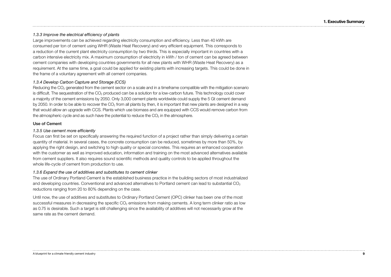### *1.3.3 Improve the electrical efficiency of plants*

Large improvements can be achieved regarding electricity consumption and efficiency. Less than 40 kWh are consumed per ton of cement using WHR (Waste Heat Recovery) and very efficient equipment. This corresponds to a reduction of the current plant electricity consumption by two thirds. This is especially important in countries with a carbon intensive electricity mix. A maximum consumption of electricity in kWh / ton of cement can be agreed between cement companies with developing countries governments for all new plants with WHR (Waste Heat Recovery) as a requirement. At the same time, a goal could be applied for existing plants with increasing targets. This could be done in the frame of a voluntary agreement with all cement companies.

### *1.3.4 Develop Carbon Capture and Storage (CCS)*

Reducing the  $CO<sub>2</sub>$  generated from the cement sector on a scale and in a timeframe compatible with the mitigation scenario is difficult. The sequestration of the  $CO<sub>2</sub>$  produced can be a solution for a low-carbon future. This technology could cover a majority of the cement emissions by 2050. Only 3,000 cement plants worldwide could supply the 5 Gt cement demand by 2050. In order to be able to recover the  $CO<sub>2</sub>$  from all plants by then, it is important that new plants are designed in a way that would allow an upgrade with CCS. Plants which use biomass and are equipped with CCS would remove carbon from the atmospheric cycle and as such have the potential to reduce the  $CO<sub>2</sub>$  in the atmosphere.

### Use of Cement

### *1.3.5 Use cement more efficiently*

Focus can first be set on specifically answering the required function of a project rather than simply delivering a certain quantity of material. In several cases, the concrete consumption can be reduced, sometimes by more than 50%, by applying the right design, and switching to high quality or special concretes. This requires an enhanced cooperation with the customer as well as improved education, information and training on the most advanced alternatives available from cement suppliers. It also requires sound scientific methods and quality controls to be applied throughout the whole life-cycle of cement from production to use.

### *1.3.6 Expand the use of additives and substitutes to cement clinker*

The use of Ordinary Portland Cement is the established business practice in the building sectors of most industrialized and developing countries. Conventional and advanced alternatives to Portland cement can lead to substantial CO<sub>2</sub> reductions ranging from 20 to 80% depending on the case.

Until now, the use of additives and substitutes to Ordinary Portland Cement (OPC) clinker has been one of the most successful measures in decreasing the specific CO<sub>2</sub> emissions from making cements. A long term clinker ratio as low as 0.75 is desirable. Such a target is still challenging since the availability of additives will not necessarily grow at the same rate as the cement demand.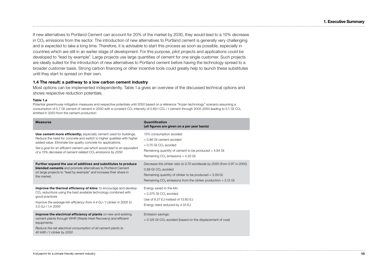If new alternatives to Portland Cement can account for 20% of the market by 2030, they would lead to a 10% decrease in CO<sub>2</sub> emissions from the sector. The introduction of new alternatives to Portland cement is generally very challenging and is expected to take a long time. Therefore, it is advisable to start this process as soon as possible, especially in countries which are still in an earlier stage of development. For this purpose, pilot projects and applications could be developed to "lead by example". Large projects use large quantities of cement for one single customer. Such projects are ideally suited for the introduction of new alternatives to Portland cement before having the technology spread to a broader customer basis. Strong carbon financing or other incentive tools could greatly help to launch these substitutes until they start to spread on their own.

### **1.4 The result: a pathway to a low carbon cement industry**

Most options can be implemented independently. Table 1.a gives an overview of the discussed technical options and shows respective reduction potentials.

### **Table 1.a**

Potential greenhouse mitigation measures and respective potentials until 2050 based on a reference "frozen technology" scenario assuming a consumption of 5.7 Gt cement of cement in 2050 with a constant CO<sub>2</sub> intensity of 0.89 t CO<sub>2</sub> / t cement through 2005-2050 leading to 5.1 Gt CO<sub>2</sub> emitted in 2050 from the cement production

| <b>Measures</b>                                                                                                                                                                                                                                                                                                                                                     | Quantification<br>(all figures are given on a per year basis)                                                                                                                                                                              |
|---------------------------------------------------------------------------------------------------------------------------------------------------------------------------------------------------------------------------------------------------------------------------------------------------------------------------------------------------------------------|--------------------------------------------------------------------------------------------------------------------------------------------------------------------------------------------------------------------------------------------|
| Use cement more efficiently; especially cement used for buildings.<br>Reduce the need for concrete and switch to higher qualities with higher<br>added value. Eliminate low quality concrete for applications.<br>Set a goal for an efficient cement use which would lead to an equivalent<br>of a 15% decrease of cement related CO <sub>2</sub> emissions by 2050 | 15% consumption avoided<br>$= 0.86$ Gt cement avoided<br>$= 0.75$ Gt CO <sub>2</sub> avoided<br>Remaining quantity of cement to be produced $=$ 4.84 Gt<br>Remaining $CO2$ emissions = 4.32 Gt                                             |
| Further expand the use of additives and substitutes to produce<br><b>blended cements</b> and promote alternatives to Portland Cement<br>on large projects to "lead by example" and increase their share in<br>the market.                                                                                                                                           | Decrease the clinker ratio to 0.75 worldwide by 2050 (from 0.87 in 2005)<br>0.88 Gt CO <sub>2</sub> avoided<br>Remaining quantity of clinker to be produced $=$ 3.09 Gt<br>Remaining $CO2$ emissions from the clinker production = 3.12 Gt |
| Improve the thermal efficiency of kilns: to encourage and develop<br>$CO2$ reductions using the best available technology combined with<br>good practices<br>Improve the average kiln efficiency from 4.4 GJ / t clinker in 2005 to<br>$3.0$ GJ / t in 2050                                                                                                         | Energy saved in the kiln<br>$= 0.375$ Gt CO <sub>2</sub> avoided<br>Use of 9.27 EJ instead of 13.60 EJ<br>Energy need reduced by 4.33 EJ                                                                                                   |
| Improve the electrical efficiency of plants on new and existing<br>cement plants through WHR (Waste Heat Recovery) and efficient<br>equipments.<br>Reduce the net electrical consumption of all cement plants to<br>40 kWh / t clinker by 2050                                                                                                                      | Emission savings:<br>$= 0.125$ Gt CO <sub>2</sub> avoided (based on the displacement of coal)                                                                                                                                              |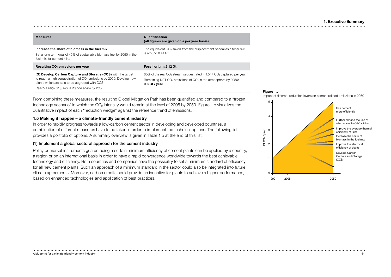| <b>Measures</b>                                                                                                                                                                                   | Quantification<br>(all figures are given on a per year basis)                                                                                                                             |
|---------------------------------------------------------------------------------------------------------------------------------------------------------------------------------------------------|-------------------------------------------------------------------------------------------------------------------------------------------------------------------------------------------|
| Increase the share of biomass in the fuel mix<br>Set a long term goal of 45% of sustainable biomass fuel by 2050 in the<br>fuel mix for cement kilns                                              | The equivalent $CO2$ saved from the displacement of coal as a fossil fuel<br>is around 0.41 Gt                                                                                            |
| Resulting CO <sub>2</sub> emissions per year                                                                                                                                                      | Fossil origin: 2.12 Gt                                                                                                                                                                    |
|                                                                                                                                                                                                   |                                                                                                                                                                                           |
| (G) Develop Carbon Capture and Storage (CCS) with the target<br>to reach a high sequestration of CO <sub>2</sub> emissions by 2050. Develop now<br>plants which are able to be upgraded with CCS. | 60% of the real CO <sub>2</sub> stream sequestrated = $1.54$ t CO <sub>2</sub> captured per year<br>Remaining NET CO <sub>2</sub> emissions of CO <sub>2</sub> in the atmosphere by 2050: |

plants which are able to be upgraded with CCS. *Reach a 60% CO*2 *sequestration share by 2050.*

From combining these measures, the resulting Global Mitigation Path has been quantified and compared to a "frozen technology scenario" in which the CO<sub>2</sub> intensity would remain at the level of 2005 by 2050. Figure 1.c visualizes the quantitative impact of each "reduction wedge" against the reference trend of emissions.

### **1.5 Making it happen – a climate-friendly cement industry**

In order to rapidly progress towards a low-carbon cement sector in developing and developed countries, a combination of different measures have to be taken in order to implement the technical options. The following list provides a portfolio of options. A summary overview is given in Table 1.b at the end of this list.

### (1) Implement a global sectoral approach for the cement industry

Policy or market instruments guaranteeing a certain minimum efficiency of cement plants can be applied by a country, a region or on an international basis in order to have a rapid convergence worldwide towards the best achievable technology and efficiency. Both countries and companies have the possibility to set a minimum standard of efficiency for all new cement plants. Such an approach of a minimum standard in the sector could also be integrated into future climate agreements. Moreover, carbon credits could provide an incentive for plants to achieve a higher performance, based on enhanced technologies and application of best practices.



Impact of different reduction levers on cement related emissions in 2050

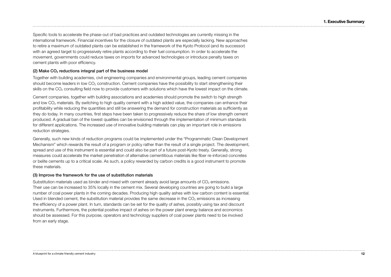Specific tools to accelerate the phase-out of bad practices and outdated technologies are currently missing in the international framework. Financial incentives for the closure of outdated plants are especially lacking. New approaches to retire a maximum of outdated plants can be established in the framework of the Kyoto Protocol (and its successor) with an agreed target to progressively retire plants according to their fuel consumption. In order to accelerate the movement, governments could reduce taxes on imports for advanced technologies or introduce penalty taxes on cement plants with poor efficiency.

### (2) Make  $CO<sub>2</sub>$  reductions integral part of the business model

Together with building academies, civil engineering companies and environmental groups, leading cement companies should become leaders in low CO<sub>2</sub> construction. Cement companies have the possibility to start strengthening their skills on the CO<sub>2</sub> consulting field now to provide customers with solutions which have the lowest impact on the climate.

Cement companies, together with building associations and academies should promote the switch to high strength and low CO<sub>2</sub> materials. By switching to high quality cement with a high added value, the companies can enhance their profitability while reducing the quantities and still be answering the demand for construction materials as sufficiently as they do today. In many countries, first steps have been taken to progressively reduce the share of low strength cement produced. A gradual ban of the lowest qualities can be envisioned through the implementation of minimum standards for different applications. The increased use of innovative building materials can play an important role in emissions reduction strategies.

Generally, such new kinds of reduction programs could be implemented under the "Programmatic Clean Development Mechanism" which rewards the result of a program or policy rather than the result of a single project. The development, spread and use of this instrument is essential and could also be part of a future post-Kyoto treaty. Generally, strong measures could accelerate the market penetration of alternative cementitious materials like fiber re-inforced concretes or belite cements up to a critical scale. As such, a policy rewarded by carbon credits is a good instrument to promote these materials.

### (3) Improve the framework for the use of substitution materials

Substitution materials used as binder and mixed with cement already avoid large amounts of CO<sub>2</sub> emissions. Their use can be increased to 35% locally in the cement mix. Several developing countries are going to build a large number of coal power plants in the coming decades. Producing high quality ashes with low carbon content is essential. Used in blended cement, the substitution material provides the same decrease in the  $CO<sub>2</sub>$  emissions as increasing the efficiency of a power plant. In turn, standards can be set for the quality of ashes, possibly using tax and discount instruments. Furthermore, the potential positive impact of ashes on the power plant energy balance and economics should be assessed. For this purpose, operators and technology suppliers of coal power plants need to be involved from an early stage.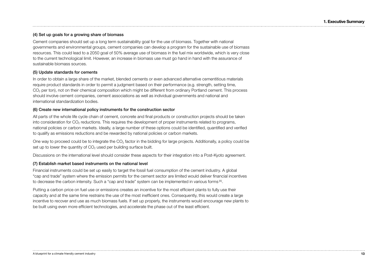### (4) Set up goals for a growing share of biomass

Cement companies should set up a long term sustainability goal for the use of biomass. Together with national governments and environmental groups, cement companies can develop a program for the sustainable use of biomass resources. This could lead to a 2050 goal of 50% average use of biomass in the fuel mix worldwide, which is very close to the current technological limit. However, an increase in biomass use must go hand in hand with the assurance of sustainable biomass sources.

### (5) Update standards for cements

In order to obtain a large share of the market, blended cements or even advanced alternative cementitious materials require product standards in order to permit a judgment based on their performance (e.g. strength, setting time, CO<sub>2</sub> per ton), not on their chemical composition which might be different from ordinary Portland cement. This process should involve cement companies, cement associations as well as individual governments and national and international standardization bodies.

### (6) Create new international policy instruments for the construction sector

All parts of the whole life cycle chain of cement, concrete and final products or construction projects should be taken into consideration for  $CO<sub>2</sub>$  reductions. This requires the development of proper instruments related to programs, national policies or carbon markets. Ideally, a large number of these options could be identified, quantified and verified to qualify as emissions reductions and be rewarded by national policies or carbon markets.

One way to proceed could be to integrate the CO<sub>2</sub> factor in the bidding for large projects. Additionally, a policy could be set up to lower the quantity of  $CO<sub>2</sub>$  used per building surface built.

Discussions on the international level should consider these aspects for their integration into a Post-Kyoto agreement.

### (7) Establish market based instruments on the national level

Financial instruments could be set up easily to target the fossil fuel consumption of the cement industry. A global "cap and trade" system where the emission permits for the cement sector are limited would deliver financial incentives to decrease the carbon intensity. Such a "cap and trade" system can be implemented in various forms [6].

Putting a carbon price on fuel use or emissions creates an incentive for the most efficient plants to fully use their capacity and at the same time restrains the use of the most inefficient ones. Consequently, this would create a large incentive to recover and use as much biomass fuels. If set up properly, the instruments would encourage new plants to be built using even more efficient technologies, and accelerate the phase out of the least efficient.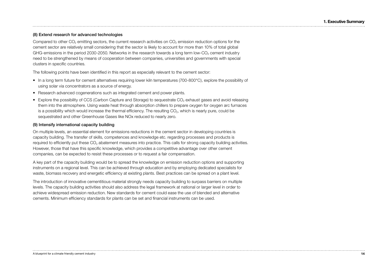### (8) Extend research for advanced technologies

Compared to other  $CO<sub>2</sub>$  emitting sectors, the current research activities on  $CO<sub>2</sub>$  emission reduction options for the cement sector are relatively small considering that the sector is likely to account for more than 10% of total global GHG-emissions in the period 2030-2050. Networks in the research towards a long term low-CO<sub>2</sub> cement industry need to be strengthened by means of cooperation between companies, universities and governments with special clusters in specific countries.

The following points have been identified in this report as especially relevant to the cement sector:

- In a long term future for cement alternatives requiring lower kiln temperatures (700-800°C), explore the possibility of using solar via concentrators as a source of energy.
- Research advanced cogenerations such as integrated cement and power plants.
- Explore the possibility of CCS (Carbon Capture and Storage) to sequestrate CO<sub>2</sub> exhaust gases and avoid releasing them into the atmosphere. Using waste heat through absorption chillers to prepare oxygen for oxygen arc furnaces is a possibility which would increase the thermal efficiency. The resulting  $CO<sub>2</sub>$ , which is nearly pure, could be sequestrated and other Greenhouse Gases like NOx reduced to nearly zero.

### (9) Intensify international capacity building

On multiple levels, an essential element for emissions reductions in the cement sector in developing countries is capacity building. The transfer of skills, competences and knowledge etc. regarding processes and products is required to efficiently put these CO<sub>2</sub> abatement measures into practice. This calls for strong capacity building activities. However, those that have this specific knowledge, which provides a competitive advantage over other cement companies, can be expected to resist these processes or to request a fair compensation.

A key part of the capacity building would be to spread the knowledge on emission reduction options and supporting instruments on a regional level. This can be achieved through education and by employing dedicated specialists for waste, biomass recovery and energetic efficiency at existing plants. Best practices can be spread on a plant level.

The introduction of innovative cementitious material strongly needs capacity building to surpass barriers on multiple levels. The capacity building activities should also address the legal framework at national or larger level in order to achieve widespread emission reduction. New standards for cement could ease the use of blended and alternative cements. Minimum efficiency standards for plants can be set and financial instruments can be used.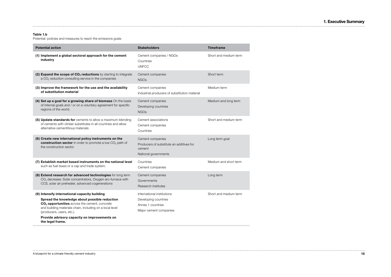**1. Executive Summary**

### **Table 1.b**

Potential: policies and measures to reach the emissions goals

| <b>Potential action</b>                                                                                                                                                                             | <b>Stakeholders</b>                                                                            | <b>Timeframe</b>      |
|-----------------------------------------------------------------------------------------------------------------------------------------------------------------------------------------------------|------------------------------------------------------------------------------------------------|-----------------------|
| (1) Implement a global sectoral approach for the cement<br>industry                                                                                                                                 | Cement companies / NGOs<br>Countries<br><b>UNFCC</b>                                           | Short and medium term |
| (2) Expand the scope of CO <sub>2</sub> reductions by starting to integrate<br>a CO <sub>2</sub> reduction consulting service in the companies                                                      | Cement companies<br><b>NGOs</b>                                                                | Short term            |
| (3) Improve the framework for the use and the availability<br>of substitution material                                                                                                              | Cement companies<br>Industrial producers of substitution material                              | Medium term           |
| (4) Set up a goal for a growing share of biomass On the basis<br>of internal goals and / or on a voluntary agreement for specific<br>regions of the world.                                          | Cement companies<br>Developing countries<br><b>NGOs</b>                                        | Medium and long term  |
| (5) Update standards for cements to allow a maximum blending<br>of cements with clinker substitutes in all countries and allow<br>alternative cementitious materials                                | Cement associations<br>Cement companies<br>Countries                                           | Short and medium term |
| (6) Create new international policy instruments on the<br>construction sector in order to promote a low CO <sub>2</sub> path of<br>the construction sector                                          | Cement companies<br>Producers of substitute an additives for<br>cement<br>National governments | Long term goal        |
| (7) Establish market based instruments on the national level<br>such as fuel taxes or a cap and trade system.                                                                                       | Countries<br>Cement companies                                                                  | Medium and short term |
| (8) Extend research for advanced technologies for long term<br>CO <sub>2</sub> decrease: Solar concentrators, Oxygen arc-furnace with<br>CCS, solar air preheater, advanced cogenerations           | Cement companies<br>Governments<br>Research institutes                                         | Long term             |
| (9) Intensify international capacity building                                                                                                                                                       | International institutions                                                                     | Short and medium term |
| Spread the knowledge about possible reduction<br>CO <sub>2</sub> opportunities across the cement, concrete<br>and building materials chain, including on a local level<br>(producers, users, etc.). | Developing countries<br>Annex 1 countries<br>Major cement companies                            |                       |
| Provide advisory capacity on improvements on<br>the legal frame.                                                                                                                                    |                                                                                                |                       |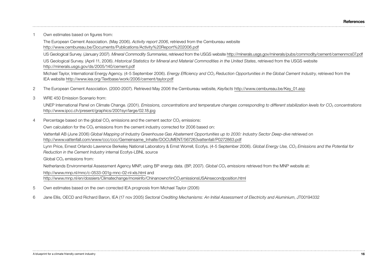1 Own estimates based on figures from:

The European Cement Association. (May 2006). *Activity report 2006*, retrieved from the Cembureau website http://www.cembureau.be/Documents/Publications/Activity%20Report%202006.pdf

US Geological Survey. (January 2007). *Mineral Commodity Summaries*, retrieved from the USGS website http://minerals.usgs.gov/minerals/pubs/commodity/cement/cemenmcs07.pdf US Geological Survey. (April 11, 2006). *Historical Statistics for Mineral and Material Commodities in the United States*, retrieved from the USGS website http://minerals.usgs.gov/ds/2005/140/cement.pdf

Michael Taylor, International Energy Agency. (4-5 September 2006). *Energy Efficiency and CO*2 *Reduction Opportunities in the Global Cement Industry*, retrieved from the IEA website http://www.iea.org/Textbase/work/2006/cement/taylor.pdf

2 The European Cement Association. (2000-2007). Retrieved May 2006 the Cembureau website, *Keyfacts* http://www.cembureau.be/Key\_01.asp

3 WRE 450 Emission Scenario from:

UNEP International Panel on Climate Change. (2001). *Emissions, concentrations and temperature changes corresponding to different stabilization levels for CO*2 *concentrations* http://www.ipcc.ch/present/graphics/2001syr/large/02.18.jpg

4 Percentage based on the global  $CO<sub>2</sub>$  emissions and the cement sector  $CO<sub>2</sub>$  emissions:

Own calculation for the  $CO<sub>2</sub>$  emissions from the cement industry corrected for 2006 based on:

Vattenfall AB (June 2006) *Global Mapping of Industry Greenhouse Gas Abatement Opportunities up to 2030: Industry Sector Deep-dive* retrieved on http://www.vattenfall.com/www/ccc/ccc/Gemeinsame\_Inhalte/DOCUMENT/567263vattenfall/P0272863.pdf

Lynn Price, Ernest Orlando Lawrence Berkeley National Laboratory & Ernst Worrell, Ecofys. (4-5 September 2006). *Global Energy Use, CO*2 *Emissions and the Potential for Reduction in the Cement Industry* internal Ecofys-LBNL source

Global CO<sub>2</sub> emissions from:

Netherlands Environmental Assessment Agency MNP, using BP energy data. (BP, 2007). *Global CO<sub>2</sub> emissions* retrieved from the MNP website at:

http://www.mnp.nl/mnc/c-0533-001g-mnc-02-nl-xls.html and

http://www.mnp.nl/en/dossiers/Climatechange/moreinfo/Chinanowno1inCO<sub>2</sub>emissionsUSAinsecondposition.html

- 5 Own estimates based on the own corrected IEA prognosis from Michael Taylor (2006)
- 6 Jane Ellis, OECD and Richard Baron, IEA (17 nov 2005) *Sectoral Crediting Mechanisms: An Initial Assessment of Electricity and Aluminium*, JT00194332